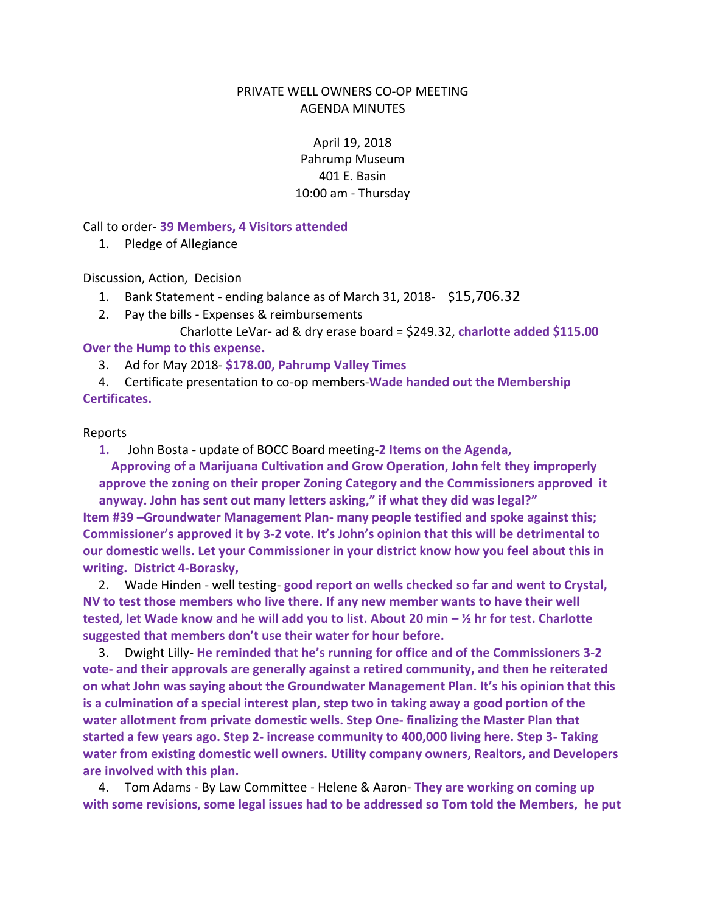## PRIVATE WELL OWNERS CO-OP MEETING AGENDA MINUTES

April 19, 2018 Pahrump Museum 401 E. Basin 10:00 am - Thursday

Call to order- **39 Members, 4 Visitors attended**

1. Pledge of Allegiance

Discussion, Action, Decision

- 1. Bank Statement ending balance as of March 31, 2018- \$15,706.32
- 2. Pay the bills Expenses & reimbursements

Charlotte LeVar- ad & dry erase board = \$249.32, **charlotte added \$115.00 Over the Hump to this expense.**

3. Ad for May 2018- **\$178.00, Pahrump Valley Times** 

4. Certificate presentation to co-op members-**Wade handed out the Membership Certificates.** 

## Reports

**1.** John Bosta - update of BOCC Board meeting-**2 Items on the Agenda,** 

 **Approving of a Marijuana Cultivation and Grow Operation, John felt they improperly approve the zoning on their proper Zoning Category and the Commissioners approved it anyway. John has sent out many letters asking," if what they did was legal?" Item #39 –Groundwater Management Plan- many people testified and spoke against this; Commissioner's approved it by 3-2 vote. It's John's opinion that this will be detrimental to our domestic wells. Let your Commissioner in your district know how you feel about this in writing. District 4-Borasky,** 

2. Wade Hinden - well testing- **good report on wells checked so far and went to Crystal, NV to test those members who live there. If any new member wants to have their well tested, let Wade know and he will add you to list. About 20 min – ½ hr for test. Charlotte suggested that members don't use their water for hour before.** 

3. Dwight Lilly- **He reminded that he's running for office and of the Commissioners 3-2 vote- and their approvals are generally against a retired community, and then he reiterated on what John was saying about the Groundwater Management Plan. It's his opinion that this is a culmination of a special interest plan, step two in taking away a good portion of the water allotment from private domestic wells. Step One- finalizing the Master Plan that started a few years ago. Step 2- increase community to 400,000 living here. Step 3- Taking water from existing domestic well owners. Utility company owners, Realtors, and Developers are involved with this plan.** 

4. Tom Adams - By Law Committee - Helene & Aaron- **They are working on coming up with some revisions, some legal issues had to be addressed so Tom told the Members, he put**